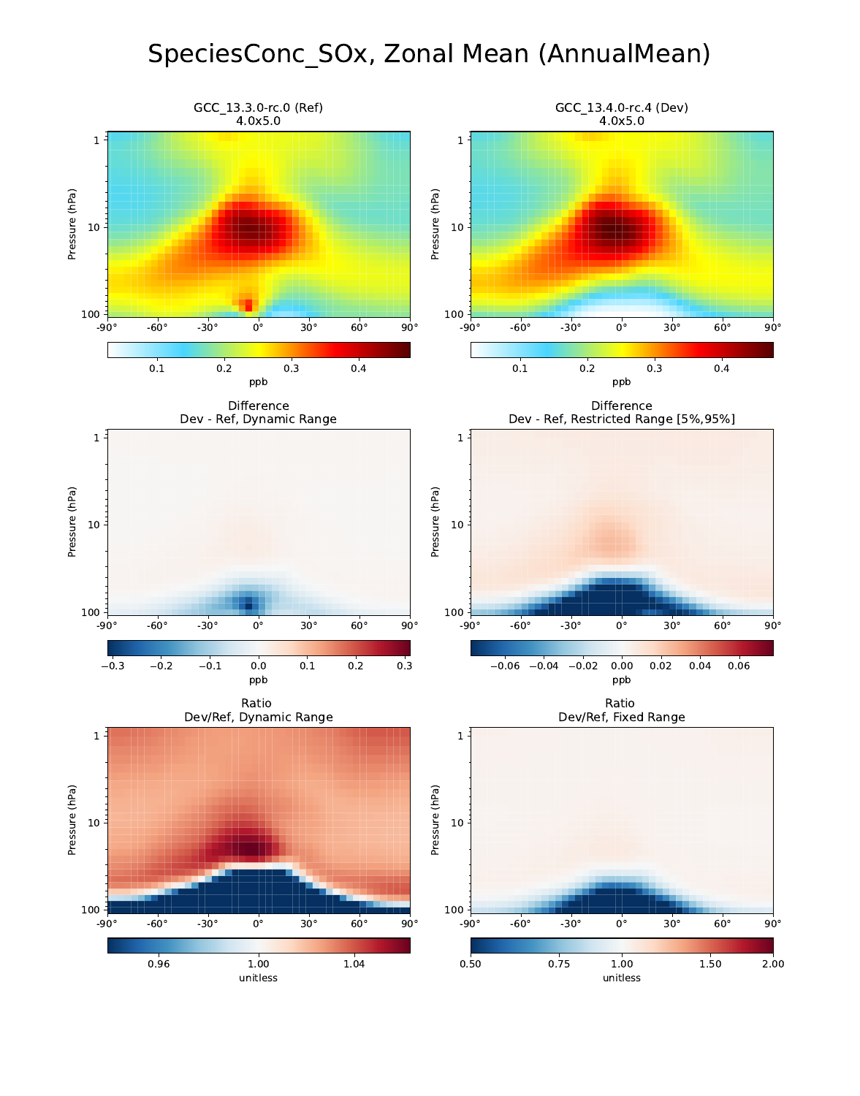# SpeciesConc\_SOx, Zonal Mean (AnnualMean)

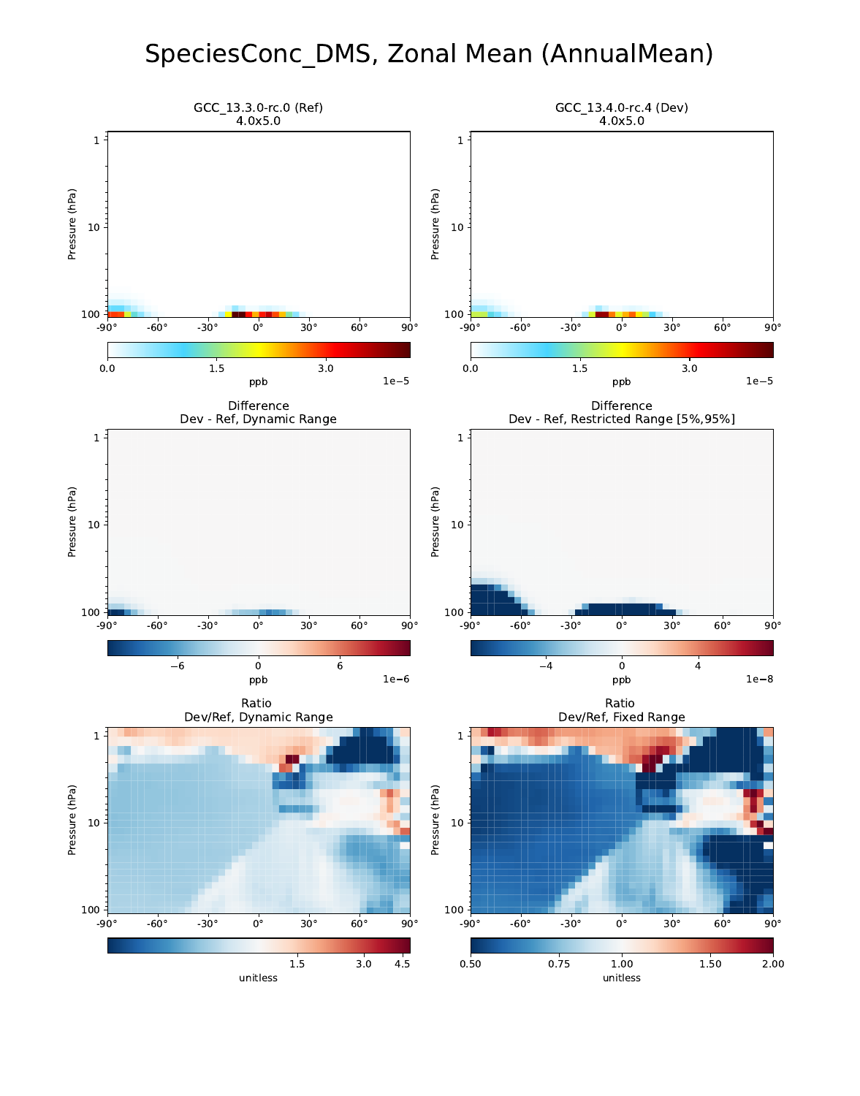## SpeciesConc\_DMS, Zonal Mean (AnnualMean)

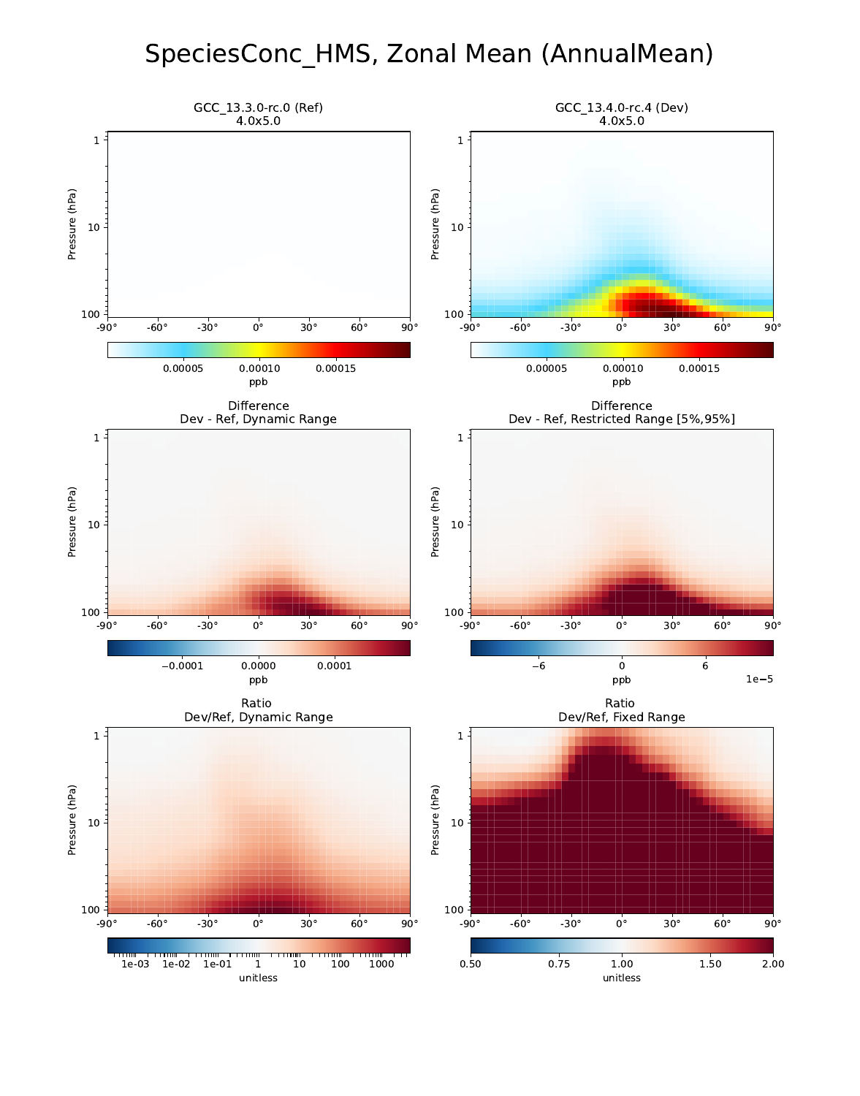## SpeciesConc\_HMS, Zonal Mean (AnnualMean)

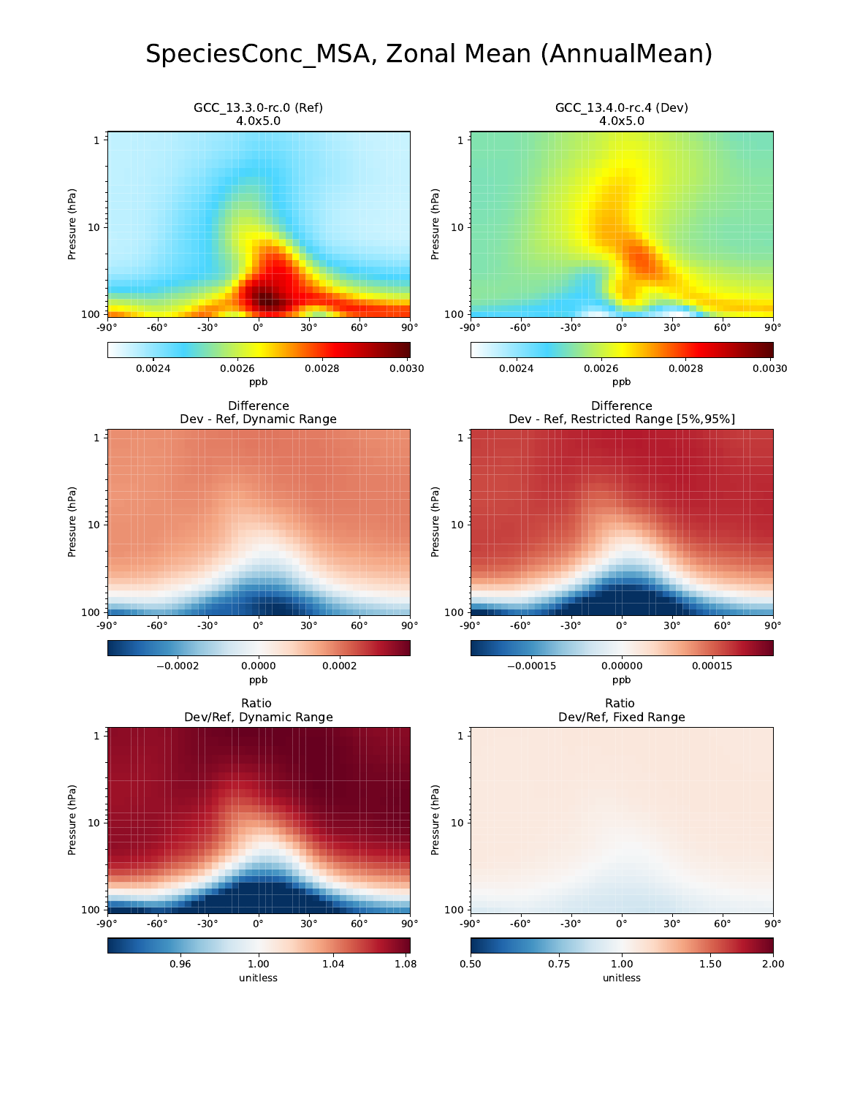## SpeciesConc\_MSA, Zonal Mean (AnnualMean)

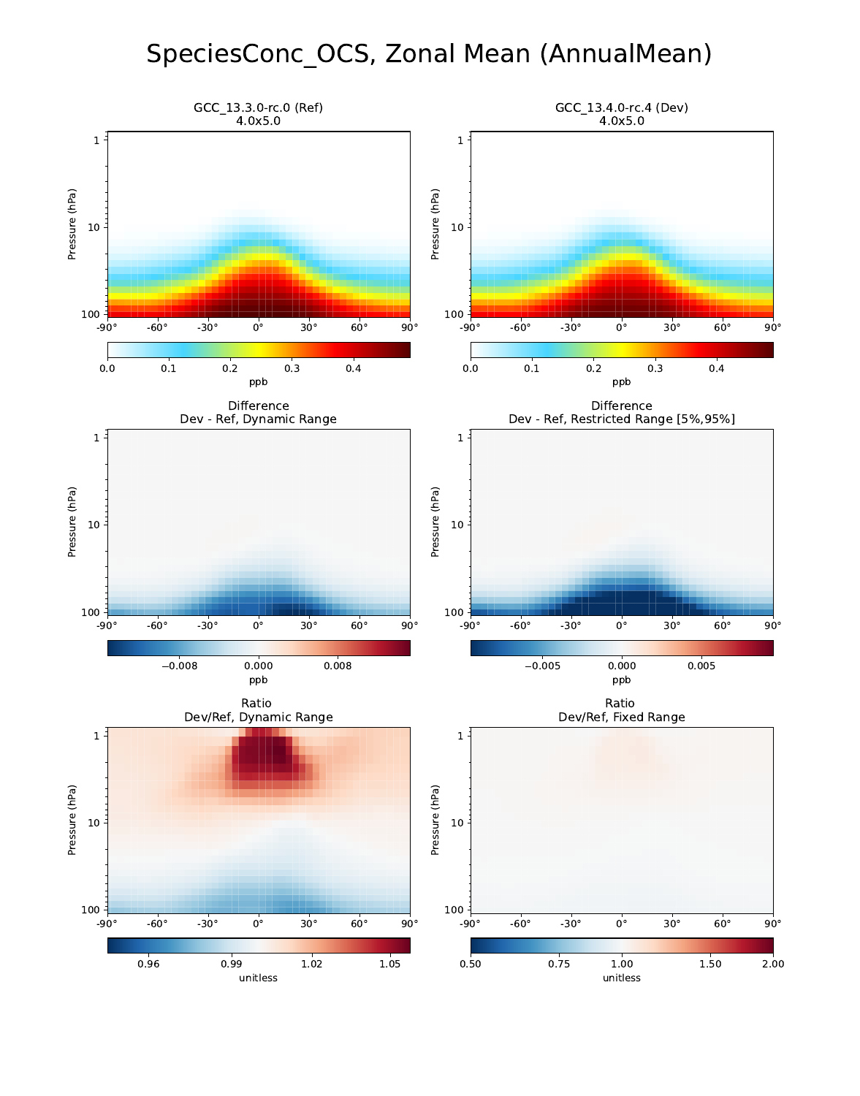# SpeciesConc\_OCS, Zonal Mean (AnnualMean)

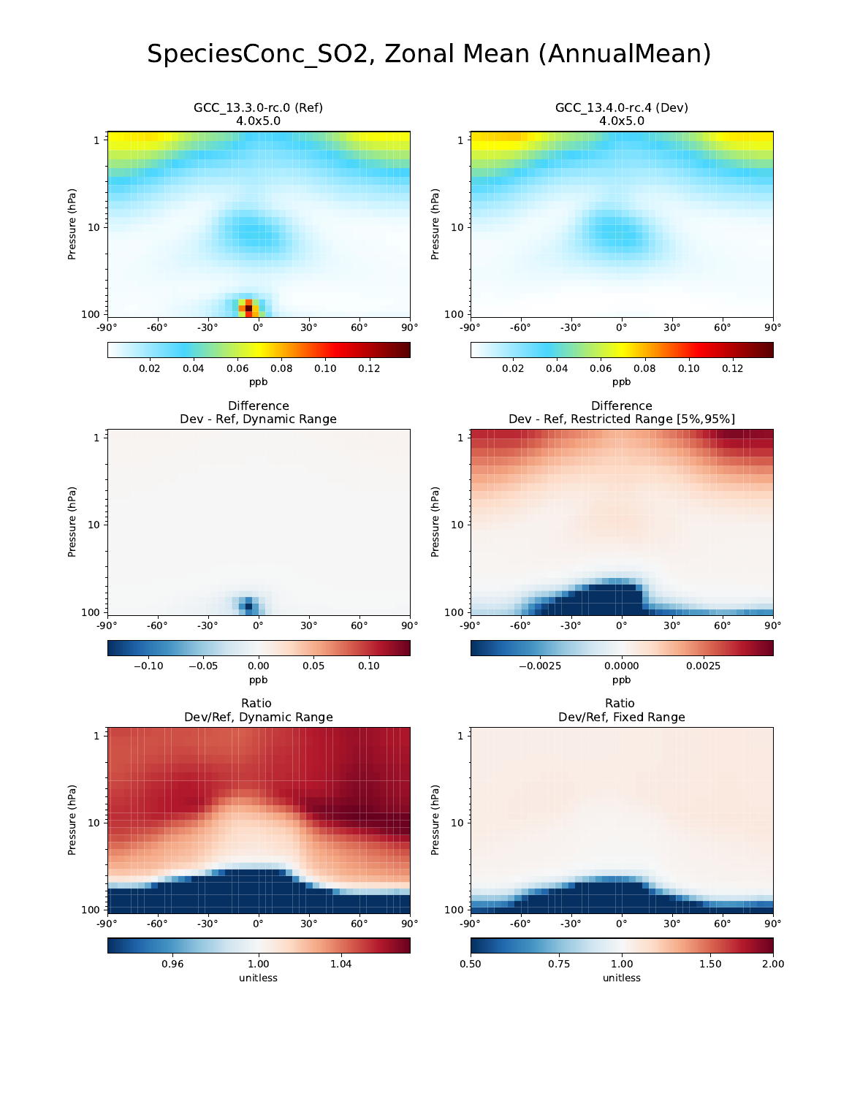## SpeciesConc\_SO2, Zonal Mean (AnnualMean)